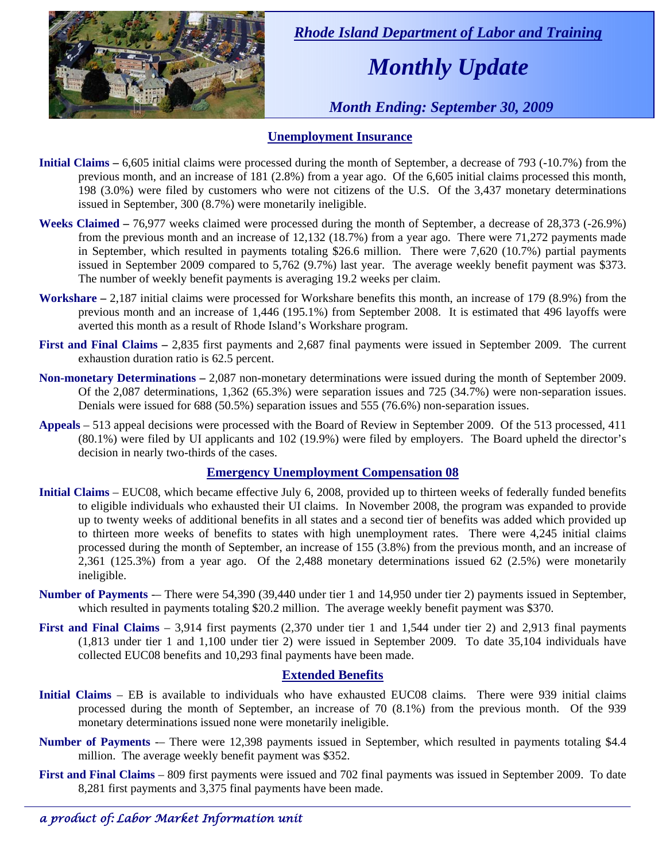

 *Rhode Island Department of Labor and Training* 

# *Monthly Update*

 *Month Ending: September 30, 2009* 

### **Unemployment Insurance**

- **Initial Claims 6,605** initial claims were processed during the month of September, a decrease of 793 (-10.7%) from the previous month, and an increase of 181 (2.8%) from a year ago. Of the 6,605 initial claims processed this month, 198 (3.0%) were filed by customers who were not citizens of the U.S. Of the 3,437 monetary determinations issued in September, 300 (8.7%) were monetarily ineligible.
- **Weeks Claimed** 76,977 weeks claimed were processed during the month of September, a decrease of 28,373 (-26.9%) from the previous month and an increase of 12,132 (18.7%) from a year ago. There were 71,272 payments made in September, which resulted in payments totaling \$26.6 million. There were 7,620 (10.7%) partial payments issued in September 2009 compared to 5,762 (9.7%) last year. The average weekly benefit payment was \$373. The number of weekly benefit payments is averaging 19.2 weeks per claim.
- **Workshare –** 2,187 initial claims were processed for Workshare benefits this month, an increase of 179 (8.9%) from the previous month and an increase of 1,446 (195.1%) from September 2008. It is estimated that 496 layoffs were averted this month as a result of Rhode Island's Workshare program.
- **First and Final Claims –** 2,835 first payments and 2,687 final payments were issued in September 2009. The current exhaustion duration ratio is 62.5 percent.
- **Non-monetary Determinations –** 2,087 non-monetary determinations were issued during the month of September 2009. Of the 2,087 determinations, 1,362 (65.3%) were separation issues and 725 (34.7%) were non-separation issues. Denials were issued for 688 (50.5%) separation issues and 555 (76.6%) non-separation issues.
- **Appeals** 513 appeal decisions were processed with the Board of Review in September 2009. Of the 513 processed, 411 (80.1%) were filed by UI applicants and 102 (19.9%) were filed by employers. The Board upheld the director's decision in nearly two-thirds of the cases.

### **Emergency Unemployment Compensation 08**

- **Initial Claims**  EUC08, which became effective July 6, 2008, provided up to thirteen weeks of federally funded benefits to eligible individuals who exhausted their UI claims. In November 2008, the program was expanded to provide up to twenty weeks of additional benefits in all states and a second tier of benefits was added which provided up to thirteen more weeks of benefits to states with high unemployment rates. There were 4,245 initial claims processed during the month of September, an increase of 155 (3.8%) from the previous month, and an increase of 2,361 (125.3%) from a year ago. Of the 2,488 monetary determinations issued 62 (2.5%) were monetarily ineligible.
- **Number of Payments** -– There were 54,390 (39,440 under tier 1 and 14,950 under tier 2) payments issued in September, which resulted in payments totaling \$20.2 million. The average weekly benefit payment was \$370.
- **First and Final Claims**  3,914 first payments (2,370 under tier 1 and 1,544 under tier 2) and 2,913 final payments (1,813 under tier 1 and 1,100 under tier 2) were issued in September 2009. To date 35,104 individuals have collected EUC08 benefits and 10,293 final payments have been made.

### **Extended Benefits**

- **Initial Claims**  EB is available to individuals who have exhausted EUC08 claims. There were 939 initial claims processed during the month of September, an increase of 70 (8.1%) from the previous month. Of the 939 monetary determinations issued none were monetarily ineligible.
- **Number of Payments** -– There were 12,398 payments issued in September, which resulted in payments totaling \$4.4 million. The average weekly benefit payment was \$352.
- **First and Final Claims**  809 first payments were issued and 702 final payments was issued in September 2009. To date 8,281 first payments and 3,375 final payments have been made.